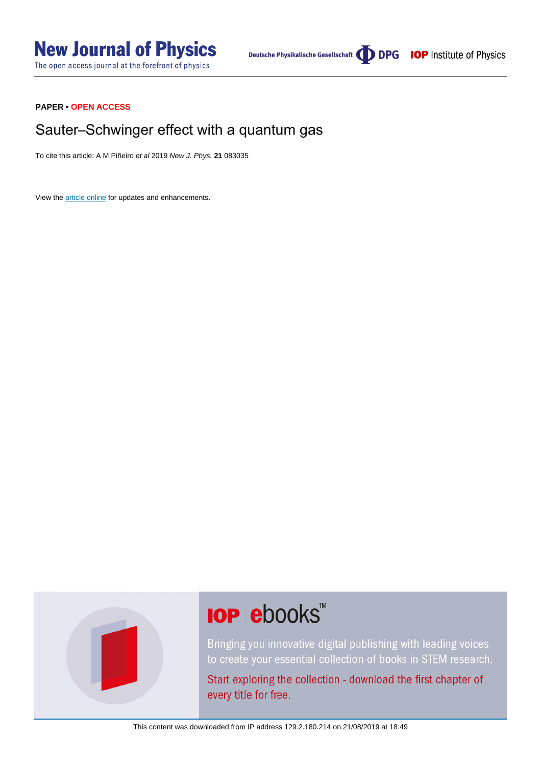# **PAPER • OPEN ACCESS**

# Sauter–Schwinger effect with a quantum gas

To cite this article: A M Piñeiro et al 2019 New J. Phys. **21** 083035

View the [article online](https://doi.org/10.1088/1367-2630/ab3840) for updates and enhancements.



# **IOP ebooks™**

Bringing you innovative digital publishing with leading voices to create your essential collection of books in STEM research.

Start exploring the collection - download the first chapter of every title for free.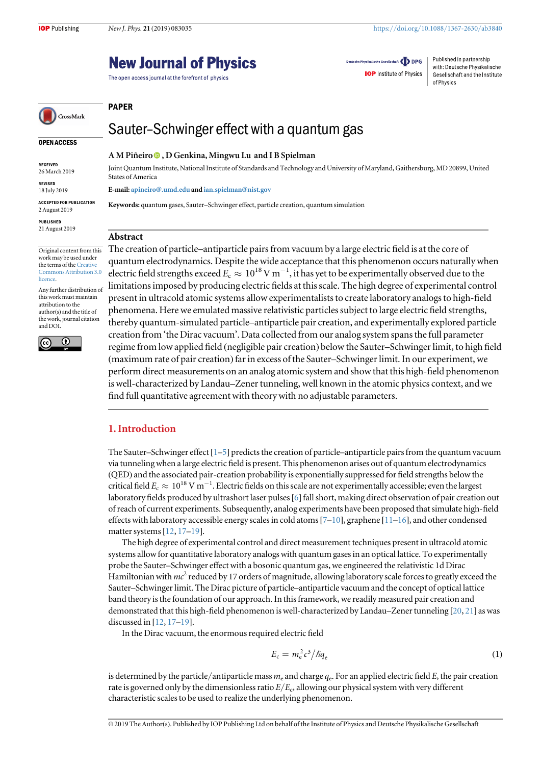of Physics

Deutsche Physikalische Gesellschaft **ODPG** 

**IOP** Institute of Physics

Published in partnership

with: Deutsche Physikalische

Gesellschaft and the Institute

# **New Journal of Physics**

The open access journal at the forefront of physics



# Sauter–Schwinger effect with a quantum gas

#### OPEN ACCESS

RECEIVED 26 March 2019

REVISED 18 July 2019

ACCEPTED FOR PUBLICATION 2 August 2019

PUBLISHED 21 August 2019

Original content from this work may be used under the terms of the [Creative](http://creativecommons.org/licenses/by/3.0) [Commons Attribution 3.0](http://creativecommons.org/licenses/by/3.0) [licence.](http://creativecommons.org/licenses/by/3.0)

Any further distribution of this work must maintain attribution to the author(s) and the title of the work, journal citation and DOI.



A M Piñeiro , D Genkina, Mingwu Lu and I B Spielman

Joint Quantum Institute, National Institute of Standards and Technology and University of Maryland, Gaithersburg, MD 20899, United States of America

E-mail: [apineiro@.umd.edu](mailto:apineiro@.umd.edu) and [ian.spielman@nist.gov](mailto:ian.spielman@nist.gov)

Keywords: quantum gases, Sauter–Schwinger effect, particle creation, quantum simulation

#### Abstract

PAPER

The creation of particle–antiparticle pairs from vacuum by a large electric field is at the core of quantum electrodynamics. Despite the wide acceptance that this phenomenon occurs naturally when electric field strengths exceed  $E_c \approx 10^{18}$  V m<sup>-1</sup>, it has yet to be experimentally observed due to the limitations imposed by producing electric fields at this scale. The high degree of experimental control present in ultracold atomic systems allow experimentalists to create laboratory analogs to high-field phenomena. Here we emulated massive relativistic particles subject to large electric field strengths, thereby quantum-simulated particle–antiparticle pair creation, and experimentally explored particle creation from 'the Dirac vacuum'. Data collected from our analog system spans the full parameter regime from low applied field (negligible pair creation) below the Sauter–Schwinger limit, to high field (maximum rate of pair creation) far in excess of the Sauter–Schwinger limit. In our experiment, we perform direct measurements on an analog atomic system and show that this high-field phenomenon is well-characterized by Landau–Zener tunneling, well known in the atomic physics context, and we find full quantitative agreement with theory with no adjustable parameters.

#### 1. Introduction

The Sauter–Schwinger effect [[1](#page-6-0)–[5](#page-6-0)] predicts the creation of particle–antiparticle pairs from the quantum vacuum via tunneling when a large electric field is present. This phenomenon arises out of quantum electrodynamics (QED) and the associated pair-creation probability is exponentially suppressed for field strengths below the critical field  $E_c \approx 10^{18}$  V m<sup>-1</sup>. Electric fields on this scale are not experimentally accessible; even the largest laboratory fields produced by ultrashort laser pulses[[6](#page-6-0)] fall short, making direct observation of pair creation out of reach of current experiments. Subsequently, analog experiments have been proposed that simulate high-field effects with laboratory accessible energy scales in cold atoms  $[7-10]$  $[7-10]$  $[7-10]$  $[7-10]$  $[7-10]$ , graphene  $[11-16]$  $[11-16]$  $[11-16]$  $[11-16]$  $[11-16]$ , and other condensed matter systems[[12,](#page-6-0) [17](#page-6-0)–[19](#page-6-0)].

The high degree of experimental control and direct measurement techniques present in ultracold atomic systems allow for quantitative laboratory analogs with quantum gases in an optical lattice. To experimentally probe the Sauter–Schwinger effect with a bosonic quantum gas, we engineered the relativistic 1d Dirac Hamiltonian with  $mc^2$  reduced by 17 orders of magnitude, allowing laboratory scale forces to greatly exceed the Sauter–Schwinger limit. The Dirac picture of particle–antiparticle vacuum and the concept of optical lattice band theory is the foundation of our approach. In this framework, we readily measured pair creation and demonstrated that this high-field phenomenon is well-characterized by Landau–Zener tunneling [[20](#page-6-0), [21](#page-6-0)] as was discussed in [[12](#page-6-0), [17](#page-6-0)–[19](#page-6-0)].

In the Dirac vacuum, the enormous required electric field

$$
E_{\rm c} = m_{\rm e}^2 c^3 / \hbar q_{\rm e}
$$
 (1)

is determined by the particle/antiparticle mass  $m_e$  and charge  $q_e$ . For an applied electric field E, the pair creation rate is governed only by the dimensionless ratio  $E/E_c$ , allowing our physical system with very different characteristic scales to be used to realize the underlying phenomenon.

<sup>© 2019</sup> The Author(s). Published by IOP Publishing Ltd on behalf of the Institute of Physics and Deutsche Physikalische Gesellschaft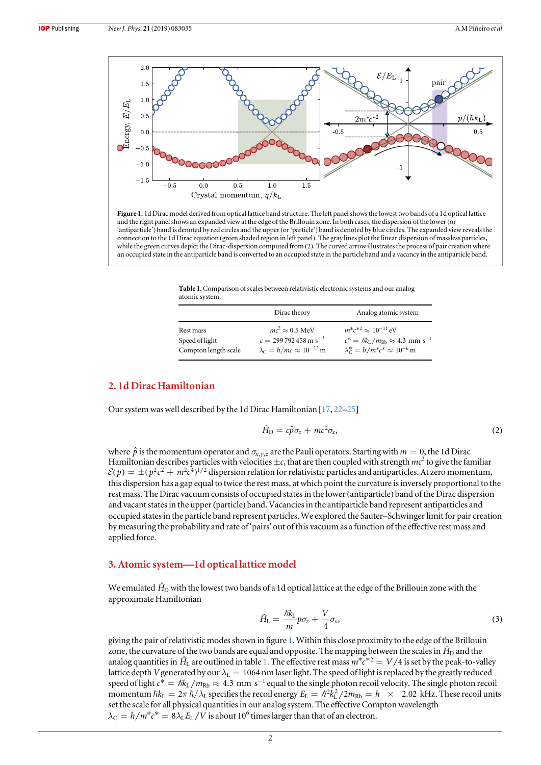

Figure 1. 1d Dirac model derived from optical lattice band structure. The left panel shows the lowest two bands of a 1d optical lattice and the right panel shows an expanded view at the edge of the Brillouin zone. In both cases, the dispersion of the lower (or 'antiparticle') band is denoted by red circles and the upper(or'particle') band is denoted by blue circles. The expanded view reveals the connection to the 1d Dirac equation (green shaded region in left panel). The gray lines plot the linear dispersion of massless particles, while the green curves depict the Dirac-dispersion computed from (2). The curved arrow illustrates the process of pair creation where an occupied state in the antiparticle band is converted to an occupied state in the particle band and a vacancy in the antiparticle band.

Table 1.Comparison of scales between relativistic electronic systems and our analog atomic system.

|                             | Dirac theory                                                  | Analog atomic system                                                                             |
|-----------------------------|---------------------------------------------------------------|--------------------------------------------------------------------------------------------------|
| Rest mass<br>Speed of light | $mc^2 \approx 0.5$ MeV<br>$c = 299792458 \,\mathrm{m s}^{-1}$ | $m^*c^{*2} \approx 10^{-11} eV$<br>$c^* = \hbar k_L / m_{\rm Rb} \approx 4.3$ mm s <sup>-1</sup> |
| Compton length scale        | $\lambda_C = h/mc \approx 10^{-12}$ m                         | $\lambda_C^* = h/m^*c^* \approx 10^{-6}$ m                                                       |

## 2. 1d Dirac Hamiltonian

Our system was well described by the 1d Dirac Hamiltonian [[17,](#page-6-0) [22](#page-6-0)–[25](#page-6-0)]

$$
\hat{H}_{\rm D} = c\hat{p}\sigma_{\rm z} + mc^2\sigma_{\rm x},\tag{2}
$$

where  $\hat{p}$  is the momentum operator and  $\sigma_{x,y,z}$  are the Pauli operators. Starting with  $m = 0$ , the 1d Dirac Hamiltonian describes particles with velocities  $\pm c$ , that are then coupled with strength  $mc^2$  to give the familiar  $\mathcal{E}(p) = \pm (p^2 c^2 + m^2 c^4)^{1/2}$  dispersion relation for relativistic particles and antiparticles. At zero momentum, this dispersion has a gap equal to twice the rest mass, at which point the curvature is inversely proportional to the rest mass. The Dirac vacuum consists of occupied states in the lower(antiparticle) band of the Dirac dispersion and vacant states in the upper(particle) band. Vacancies in the antiparticle band represent antiparticles and occupied states in the particle band represent particles. We explored the Sauter–Schwinger limit for pair creation by measuring the probability and rate of 'pairs' out of this vacuum as a function of the effective rest mass and applied force.

#### 3. Atomic system—1d optical lattice model

We emulated  $\hat{H}_{\rm D}$  with the lowest two bands of a 1d optical lattice at the edge of the Brillouin zone with the approximate Hamiltonian

$$
\hat{H}_{\rm L} = \frac{\hbar k_{\rm L}}{m} p \sigma_z + \frac{V}{4} \sigma_x, \tag{3}
$$

giving the pair of relativistic modes shown in figure 1. Within this close proximity to the edge of the Brillouin zone, the curvature of the two bands are equal and opposite. The mapping between the scales in  $\hat{H}_D$  and the analog quantities in  $\hat{H}_{\text{L}}$  are outlined in table 1. The effective rest mass  $m^*c^{*2} = V/4$  is set by the peak-to-valley lattice depth V generated by our  $\lambda_L = 1064$  nm laser light. The speed of light is replaced by the greatly reduced speed of light  $c^* = \hbar k_L / m_{Rb} \approx 4.3\,$  mm s<sup>-1</sup> equal to the single photon recoil velocity. The single photon recoil momentum  $\hbar k_L = 2\pi \hbar / \lambda_L$  specifies the recoil energy  $E_L = \hbar^2 k_L^2 / 2m_{Rb} = h \times 2.02$  kHz. These recoil units set the scale for all physical quantities in our analog system. The effective Compton wavelength  $\lambda_C = h/m^*c^* = 8\lambda_L E_L/V$  is about 10<sup>6</sup> times larger than that of an electron.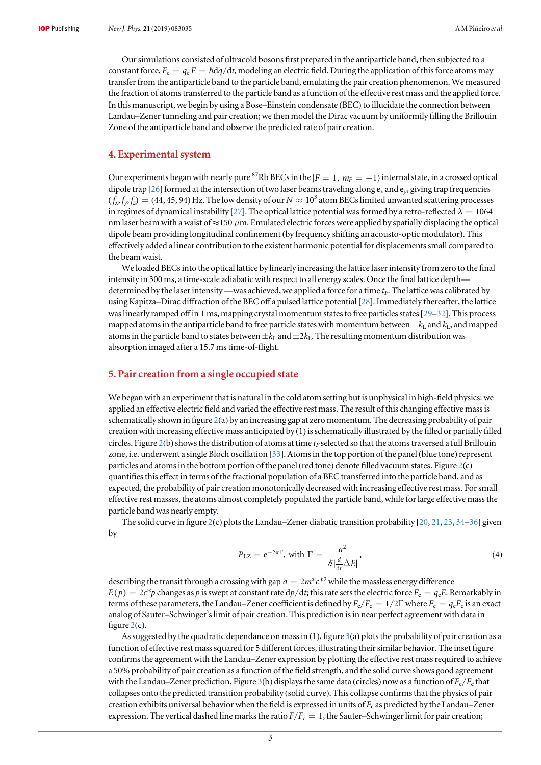Our simulations consisted of ultracold bosons first prepared in the antiparticle band, then subjected to a constant force,  $F_e = q_e E = \hbar dq/dt$ , modeling an electric field. During the application of this force atoms may transfer from the antiparticle band to the particle band, emulating the pair creation phenomenon. We measured the fraction of atoms transferred to the particle band as a function of the effective rest mass and the applied force. In this manuscript, we begin by using a Bose–Einstein condensate (BEC) to illucidate the connection between Landau–Zener tunneling and pair creation; we then model the Dirac vacuum by uniformily filling the Brillouin Zone of the antiparticle band and observe the predicted rate of pair creation.

#### 4. Experimental system

Our experiments began with nearly pure <sup>87</sup>Rb BECs in the  $|F = 1, m_F = -1\rangle$  internal state, in a crossed optical dipole trap [[26](#page-6-0)] formed at the intersection of two laser beams traveling along  $e_x$  and  $e_y$ , giving trap frequencies  $(f_x, f_y, f_z) = (44, 45, 94)$  Hz. The low density of our  $N \approx 10^3$  atom BECs limited unwanted scattering processes in regimes of dynamical instability [[27](#page-6-0)]. The optical lattice potential was formed by a retro-reflected  $\lambda = 1064$ nm laser beam with a waist of  $\approx$ 150  $\mu$ m. Emulated electric forces were applied by spatially displacing the optical dipole beam providing longitudinal confinement(by frequency shifting an acousto-optic modulator). This effectively added a linear contribution to the existent harmonic potential for displacements small compared to the beam waist.

We loaded BECs into the optical lattice by linearly increasing the lattice laser intensity from zero to the final intensity in 300 ms, a time-scale adiabatic with respect to all energy scales. Once the final lattice depth determined by the laser intensity—was achieved, we applied a force for a time  $t_F$ . The lattice was calibrated by using Kapitza–Dirac diffraction of the BEC off a pulsed lattice potential [[28](#page-6-0)]. Immediately thereafter, the lattice was linearly ramped off in 1 ms, mapping crystal momentum states to free particles states [[29](#page-6-0)–[32](#page-6-0)]. This process mapped atoms in the antiparticle band to free particle states with momentum between  $-k_L$  and  $k_L$ , and mapped atoms in the particle band to states between  $\pm k_L$  and  $\pm 2k_L$ . The resulting momentum distribution was absorption imaged after a 15.7 ms time-of-flight.

#### 5. Pair creation from a single occupied state

We began with an experiment that is natural in the cold atom setting but is unphysical in high-field physics: we applied an effective electric field and varied the effective rest mass. The result of this changing effective mass is schematically shown in figure [2](#page-4-0)(a) by an increasing gap at zero momentum. The decreasing probability of pair creation with increasing effective mass anticipated by (1) is schematically illustrated by the filled or partially filled circles. Figure [2](#page-4-0)(b) shows the distribution of atoms at time  $t_F$  selected so that the atoms traversed a full Brillouin zone, i.e. underwent a single Bloch oscillation [[33](#page-6-0)]. Atoms in the top portion of the panel (blue tone)represent particles and atoms in the bottom portion of the panel (red tone) denote filled vacuum states. Figure  $2(c)$  $2(c)$ quantifies this effect in terms of the fractional population of a BEC transferred into the particle band, and as expected, the probability of pair creation monotonically decreased with increasing effective rest mass. For small effective rest masses, the atoms almost completely populated the particle band, while for large effective mass the particle band was nearly empty.

The solid curve in figure [2](#page-4-0)(c) plots the Landau–Zener diabatic transition probability [[20](#page-6-0), [21](#page-6-0), [23](#page-6-0), [34](#page-6-0)–[36](#page-6-0)] given by

$$
P_{\text{LZ}} = e^{-2\pi\Gamma}, \text{ with } \Gamma = \frac{a^2}{\hbar \left| \frac{d}{dt} \Delta E \right|},\tag{4}
$$

describing the transit through a crossing with gap  $a = 2m^*c^{*2}$  while the massless energy difference  $E(p) = 2c^*p$  changes as p is swept at constant rate  $dp/dt$ ; this rate sets the electric force  $F_e = q_e E$ . Remarkably in terms of these parameters, the Landau–Zener coefficient is defined by  $F_e/F_c = 1/2\Gamma$  where  $F_c = q_e E_c$  is an exact analog of Sauter–Schwinger's limit of pair creation. This prediction is in near perfect agreement with data in figure  $2(c)$  $2(c)$ .

As suggested by the quadratic dependance on mass in  $(1)$ , figure  $3(a)$  $3(a)$  plots the probability of pair creation as a function of effective rest mass squared for 5 different forces, illustrating their similar behavior. The inset figure confirms the agreement with the Landau–Zener expression by plotting the effective rest mass required to achieve a 50% probability of pair creation as a function of the field strength, and the solid curve shows good agreement with the Landau–Zener prediction. Figure [3](#page-4-0)(b) displays the same data (circles) now as a function of  $F_e/F_c$  that collapses onto the predicted transition probability (solid curve). This collapse confirms that the physics of pair creation exhibits universal behavior when the field is expressed in units of  $F_c$  as predicted by the Landau–Zener expression. The vertical dashed line marks the ratio  $F/F_c = 1$ , the Sauter–Schwinger limit for pair creation;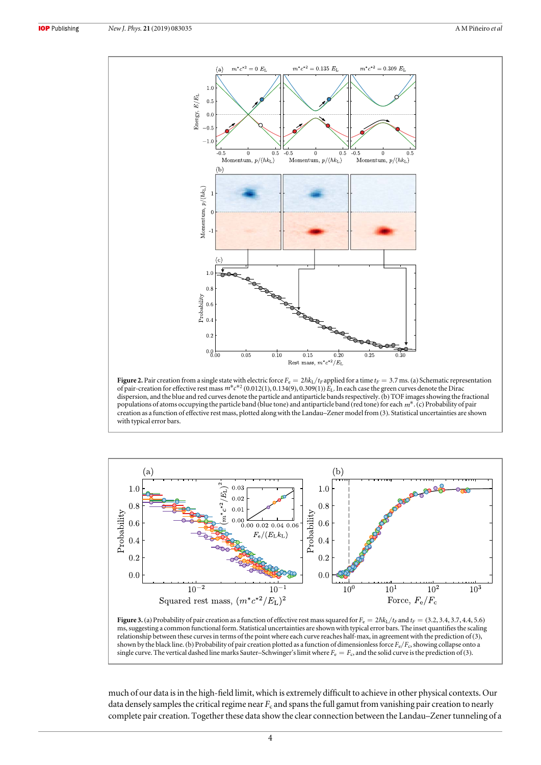<span id="page-4-0"></span>

Figure 2. Pair creation from a single state with electric force  $F_e = 2\hbar k_L/r_F$  applied for a time  $t_F = 3.7$  ms. (a) Schematic representation of pair-creation for effective rest mass  $m^*c^{*2}(0.012(1), 0.134(9), 0.309(1))$   $E_L$ . In each case the green curves denote the Dirac dispersion, and the blue and red curves denote the particle and antiparticle bands respectively. (b) TOF images showing the fractional populations of atoms occupying the particle band (blue tone) and antiparticle band (red tone) for each *m*\*.(c) Probability of pair creation as a function of effective rest mass, plotted along with the Landau–Zener model from (3). Statistical uncertainties are shown with typical error bars.



Figure 3. (a) Probability of pair creation as a function of effective rest mass squared for  $F_e = 2\hbar k_L/t_F$  and  $t_F = (3.2, 3.4, 3.7, 4.4, 5.6)$ ms, suggesting a common functional form. Statistical uncertainties are shown with typical error bars. The inset quantifies the scaling relationship between these curves in terms of the point where each curve reaches half-max, in agreement with the prediction of (3), shown by the black line. (b) Probability of pair creation plotted as a function of dimensionless force  $F_e/F_c$ , showing collapse onto a single curve. The vertical dashed line marks Sauter–Schwinger's limit where  $F_e = F_c$ , and the solid curve is the prediction of (3).

much of our data is in the high-field limit, which is extremely difficult to achieve in other physical contexts. Our data densely samples the critical regime near  $F_c$  and spans the full gamut from vanishing pair creation to nearly complete pair creation. Together these data show the clear connection between the Landau–Zener tunneling of a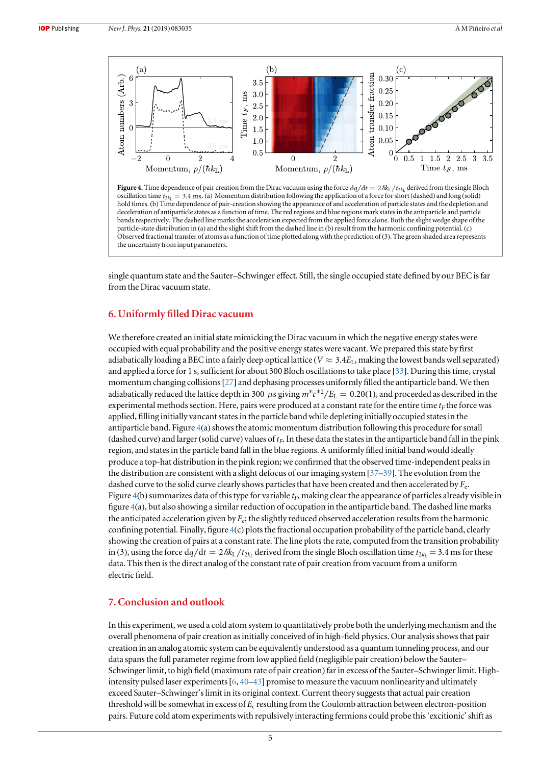

Figure 4. Time dependence of pair creation from the Dirac vacuum using the force  $dq/dt = 2\hbar k_L/t_{2kt}$  derived from the single Bloch oscillation time  $t_{2k} = 3.4$  ms. (a) Momentum distribution following the application of a force for short (dashed) and long (solid) hold times. (b) Time dependence of pair-creation showing the appearance of and acceleration of particle states and the depletion and deceleration of antiparticle states as a function of time. The red regions and blue regions mark states in the antiparticle and particle bands respectively. The dashed line marks the acceleration expected from the applied force alone. Both the slight wedge shape of the particle-state distribution in (a) and the slight shift from the dashed line in (b) result from the harmonic confining potential. (c) Observed fractional transfer of atoms as a function of time plotted along with the prediction of (3). The green shaded area represents the uncertainty from input parameters.

single quantum state and the Sauter–Schwinger effect. Still, the single occupied state defined by our BEC is far from the Dirac vacuum state.

### 6. Uniformly filled Dirac vacuum

We therefore created an initial state mimicking the Dirac vacuum in which the negative energy states were occupied with equal probability and the positive energy states were vacant. We prepared this state by first adiabatically loading a BEC into a fairly deep optical lattice ( $V \approx 3.4E_L$ , making the lowest bands well separated) and applied a force for 1 s, sufficient for about 300 Bloch oscillations to take place [[33](#page-6-0)]. During this time, crystal momentum changing collisions[[27](#page-6-0)] and dephasing processes uniformly filled the antiparticle band. We then adiabatically reduced the lattice depth in 300  $\mu$ s giving  $m^*c^{*2}/E_L = 0.20(1)$ , and proceeded as described in the experimental methods section. Here, pairs were produced at a constant rate for the entire time  $t_F$  the force was applied, filling initially vancant states in the particle band while depleting initially occupied states in the antiparticle band. Figure  $4(a)$  shows the atomic momentum distribution following this procedure for small (dashed curve) and larger (solid curve) values of  $t_F$ . In these data the states in the antiparticle band fall in the pink region, and states in the particle band fall in the blue regions. A uniformly filled initial band would ideally produce a top-hat distribution in the pink region; we confirmed that the observed time-independent peaks in the distribution are consistent with a slight defocus of our imaging system [[37](#page-6-0)–[39](#page-6-0)]. The evolution from the dashed curve to the solid curve clearly shows particles that have been created and then accelerated by  $F_{e}$ . Figure 4(b) summarizes data of this type for variable  $t_F$ , making clear the appearance of particles already visible in figure 4(a), but also showing a similar reduction of occupation in the antiparticle band. The dashed line marks the anticipated acceleration given by  $F_e$ ; the slightly reduced observed acceleration results from the harmonic confining potential. Finally, figure 4(c) plots the fractional occupation probability of the particle band, clearly showing the creation of pairs at a constant rate. The line plots the rate, computed from the transition probability in (3), using the force  $dq/dt = 2\hbar k_L/t_{2k}$  derived from the single Bloch oscillation time  $t_{2k} = 3.4$  ms for these data. This then is the direct analog of the constant rate of pair creation from vacuum from a uniform electric field.

## 7. Conclusion and outlook

In this experiment, we used a cold atom system to quantitatively probe both the underlying mechanism and the overall phenomena of pair creation as initially conceived of in high-field physics. Our analysis shows that pair creation in an analog atomic system can be equivalently understood as a quantum tunneling process, and our data spans the full parameter regime from low applied field (negligible pair creation) below the Sauter– Schwinger limit, to high field (maximum rate of pair creation) far in excess of the Sauter–Schwinger limit. Highintensity pulsed laser experiments[[6](#page-6-0), [40](#page-6-0)–[43](#page-6-0)] promise to measure the vacuum nonlinearity and ultimately exceed Sauter–Schwinger's limit in its original context. Current theory suggests that actual pair creation threshold will be somewhat in excess of  $E_c$  resulting from the Coulomb attraction between electron-position pairs. Future cold atom experiments with repulsively interacting fermions could probe this'excitionic'shift as